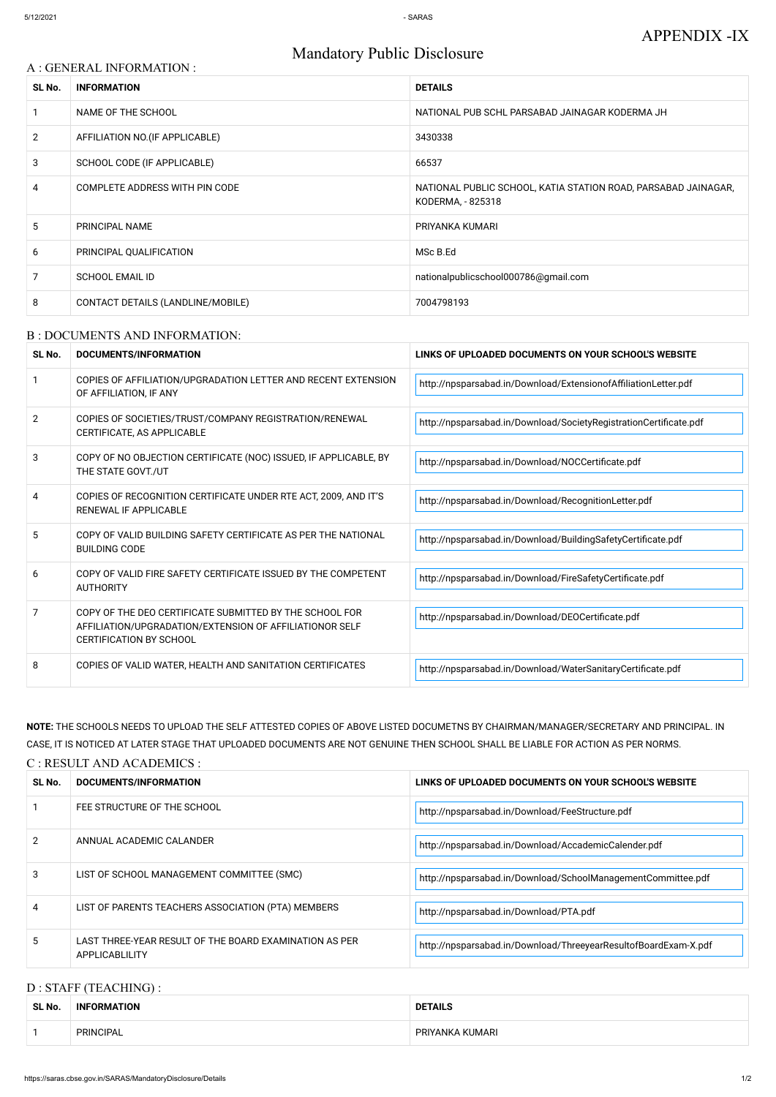# A : GENERAL INFORMATION : **SL No. INFORMATION DETAILS** 1 NAME OF THE SCHOOL NATIONAL PUB SCHL PARSABAD JAINAGAR KODERMA JH 2 AFFILIATION NO. (IF APPLICABLE) 3430338 3 SCHOOL CODE (IF APPLICABLE) 66537 4 COMPLETE ADDRESS WITH PIN CODE NATIONAL PUBLIC SCHOOL, KATIA STATION ROAD, PARSABAD JAINAGAR, KODERMA, - 825318 5 PRINCIPAL NAME PRIYANKA KUMARI 6 PRINCIPAL QUALIFICATION NSC B.Ed 7 SCHOOL EMAIL ID nationalpublicschool000786@gmail.com 8 CONTACT DETAILS (LANDLINE/MOBILE) 7004798193

## Mandatory Public Disclosure

#### B : DOCUMENTS AND INFORMATION:

| SL No.         | DOCUMENTS/INFORMATION                                                                                                                                | LINKS OF UPLOADED DOCUMENTS ON YOUR SCHOOL'S WEBSITE              |
|----------------|------------------------------------------------------------------------------------------------------------------------------------------------------|-------------------------------------------------------------------|
|                | COPIES OF AFFILIATION/UPGRADATION LETTER AND RECENT EXTENSION<br>OF AFFILIATION, IF ANY                                                              | http://npsparsabad.in/Download/ExtensionofAffiliationLetter.pdf   |
| $\overline{2}$ | COPIES OF SOCIETIES/TRUST/COMPANY REGISTRATION/RENEWAL<br>CERTIFICATE, AS APPLICABLE                                                                 | http://npsparsabad.in/Download/SocietyRegistrationCertificate.pdf |
| 3              | COPY OF NO OBJECTION CERTIFICATE (NOC) ISSUED, IF APPLICABLE, BY<br>THE STATE GOVT./UT                                                               | http://npsparsabad.in/Download/NOCCertificate.pdf                 |
| 4              | COPIES OF RECOGNITION CERTIFICATE UNDER RTE ACT, 2009, AND IT'S<br>RENEWAL IF APPLICABLE                                                             | http://npsparsabad.in/Download/RecognitionLetter.pdf              |
| 5              | COPY OF VALID BUILDING SAFETY CERTIFICATE AS PER THE NATIONAL<br><b>BUILDING CODE</b>                                                                | http://npsparsabad.in/Download/BuildingSafetyCertificate.pdf      |
| 6              | COPY OF VALID FIRE SAFETY CERTIFICATE ISSUED BY THE COMPETENT<br><b>AUTHORITY</b>                                                                    | http://npsparsabad.in/Download/FireSafetyCertificate.pdf          |
| 7              | COPY OF THE DEO CERTIFICATE SUBMITTED BY THE SCHOOL FOR<br>AFFILIATION/UPGRADATION/EXTENSION OF AFFILIATIONOR SELF<br><b>CERTIFICATION BY SCHOOL</b> | http://npsparsabad.in/Download/DEOCertificate.pdf                 |
| 8              | COPIES OF VALID WATER, HEALTH AND SANITATION CERTIFICATES                                                                                            | http://npsparsabad.in/Download/WaterSanitaryCertificate.pdf       |

**NOTE:** THE SCHOOLS NEEDS TO UPLOAD THE SELF ATTESTED COPIES OF ABOVE LISTED DOCUMETNS BY CHAIRMAN/MANAGER/SECRETARY AND PRINCIPAL. IN CASE, IT IS NOTICED AT LATER STAGE THAT UPLOADED DOCUMENTS ARE NOT GENUINE THEN SCHOOL SHALL BE LIABLE FOR ACTION AS PER NORMS.

#### C : RESULT AND ACADEMICS :

| SL No. | DOCUMENTS/INFORMATION       | LINKS OF UPLOADED DOCUMENTS ON YOUR SCHOOL'S WEBSITE |  |
|--------|-----------------------------|------------------------------------------------------|--|
|        | FEE STRUCTURE OF THE SCHOOL | http://npsparsabad.in/Download/FeeStructure.pdf      |  |

| 2 | ANNUAL ACADEMIC CALANDER                                                 | http://npsparsabad.in/Download/AccademicCalender.pdf            |
|---|--------------------------------------------------------------------------|-----------------------------------------------------------------|
| 3 | LIST OF SCHOOL MANAGEMENT COMMITTEE (SMC)                                | http://npsparsabad.in/Download/SchoolManagementCommittee.pdf    |
|   | LIST OF PARENTS TEACHERS ASSOCIATION (PTA) MEMBERS                       | http://npsparsabad.in/Download/PTA.pdf                          |
|   | LAST THREE-YEAR RESULT OF THE BOARD EXAMINATION AS PER<br>APPLICABLILITY | http://npsparsabad.in/Download/ThreeyearResultofBoardExam-X.pdf |

#### D : STAFF (TEACHING) :

| SL No. | _____<br><b>INFORMATION</b> | <b>DETAILS</b>  |
|--------|-----------------------------|-----------------|
|        | PRINCIPAL                   | PRIYANKA KUMARI |